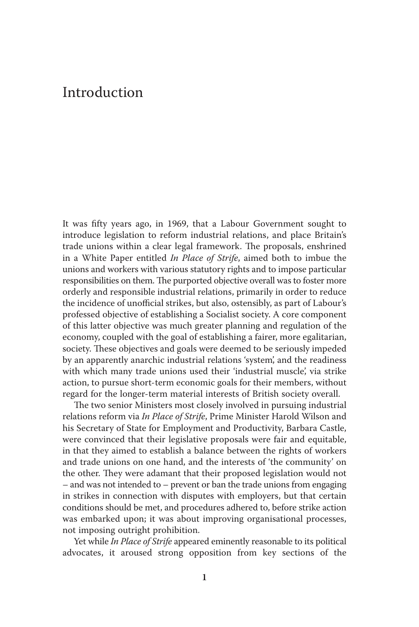## Introduction

It was fifty years ago, in 1969, that a Labour Government sought to introduce legislation to reform industrial relations, and place Britain's trade unions within a clear legal framework. The proposals, enshrined in a White Paper entitled *In Place of Strife* , aimed both to imbue the unions and workers with various statutory rights and to impose particular responsibilities on them. The purported objective overall was to foster more orderly and responsible industrial relations, primarily in order to reduce the incidence of unofficial strikes, but also, ostensibly, as part of Labour's professed objective of establishing a Socialist society. A core component of this latter objective was much greater planning and regulation of the economy, coupled with the goal of establishing a fairer, more egalitarian, society. These objectives and goals were deemed to be seriously impeded by an apparently anarchic industrial relations 'system', and the readiness with which many trade unions used their 'industrial muscle', via strike action, to pursue short-term economic goals for their members, without regard for the longer-term material interests of British society overall.

The two senior Ministers most closely involved in pursuing industrial relations reform via *In Place of Strife* , Prime Minister Harold Wilson and his Secretary of State for Employment and Productivity, Barbara Castle, were convinced that their legislative proposals were fair and equitable, in that they aimed to establish a balance between the rights of workers and trade unions on one hand, and the interests of 'the community' on the other. They were adamant that their proposed legislation would not – and was not intended to – prevent or ban the trade unions from engaging in strikes in connection with disputes with employers, but that certain conditions should be met, and procedures adhered to, before strike action was embarked upon; it was about improving organisational processes, not imposing outright prohibition.

 Yet while *In Place of Strife* appeared eminently reasonable to its political advocates, it aroused strong opposition from key sections of the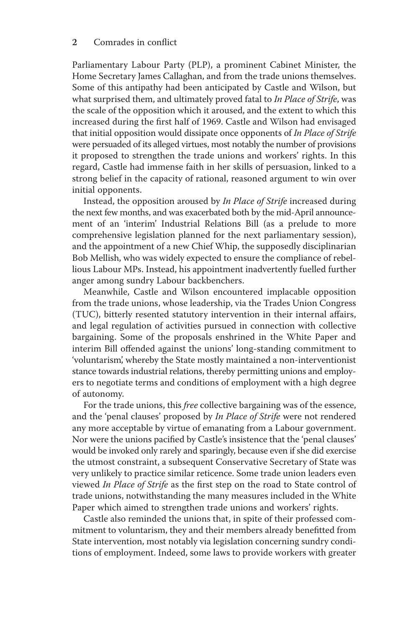## 2 Comrades in conflict

Parliamentary Labour Party (PLP), a prominent Cabinet Minister, the Home Secretary James Callaghan, and from the trade unions themselves. Some of this antipathy had been anticipated by Castle and Wilson, but what surprised them, and ultimately proved fatal to *In Place of Strife*, was the scale of the opposition which it aroused, and the extent to which this increased during the first half of 1969. Castle and Wilson had envisaged that initial opposition would dissipate once opponents of *In Place of Strife* were persuaded of its alleged virtues, most notably the number of provisions it proposed to strengthen the trade unions and workers' rights. In this regard, Castle had immense faith in her skills of persuasion, linked to a strong belief in the capacity of rational, reasoned argument to win over initial opponents.

 Instead, the opposition aroused by *In Place of Strife* increased during the next few months, and was exacerbated both by the mid-April announcement of an 'interim' Industrial Relations Bill (as a prelude to more comprehensive legislation planned for the next parliamentary session), and the appointment of a new Chief Whip, the supposedly disciplinarian Bob Mellish, who was widely expected to ensure the compliance of rebellious Labour MPs. Instead, his appointment inadvertently fuelled further anger among sundry Labour backbenchers.

 Meanwhile, Castle and Wilson encountered implacable opposition from the trade unions, whose leadership, via the Trades Union Congress (TUC), bitterly resented statutory intervention in their internal affairs, and legal regulation of activities pursued in connection with collective bargaining. Some of the proposals enshrined in the White Paper and interim Bill offended against the unions' long-standing commitment to 'voluntarism', whereby the State mostly maintained a non-interventionist stance towards industrial relations, thereby permitting unions and employers to negotiate terms and conditions of employment with a high degree of autonomy.

 For the trade unions, this *free* collective bargaining was of the essence, and the 'penal clauses' proposed by *In Place of Strife* were not rendered any more acceptable by virtue of emanating from a Labour government. Nor were the unions pacified by Castle's insistence that the 'penal clauses' would be invoked only rarely and sparingly, because even if she did exercise the utmost constraint, a subsequent Conservative Secretary of State was very unlikely to practice similar reticence. Some trade union leaders even viewed *In Place of Strife* as the first step on the road to State control of trade unions, notwithstanding the many measures included in the White Paper which aimed to strengthen trade unions and workers' rights.

 Castle also reminded the unions that, in spite of their professed commitment to voluntarism, they and their members already benefitted from State intervention, most notably via legislation concerning sundry conditions of employment. Indeed, some laws to provide workers with greater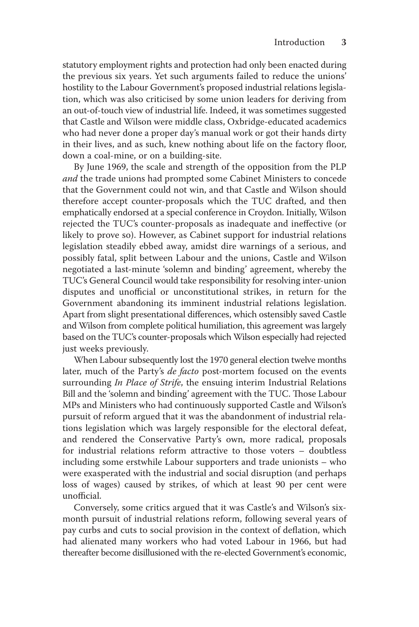statutory employment rights and protection had only been enacted during the previous six years. Yet such arguments failed to reduce the unions' hostility to the Labour Government's proposed industrial relations legislation, which was also criticised by some union leaders for deriving from an out-of-touch view of industrial life. Indeed, it was sometimes suggested that Castle and Wilson were middle class, Oxbridge-educated academics who had never done a proper day's manual work or got their hands dirty in their lives, and as such, knew nothing about life on the factory floor, down a coal-mine, or on a building-site.

 By June 1969, the scale and strength of the opposition from the PLP *and* the trade unions had prompted some Cabinet Ministers to concede that the Government could not win, and that Castle and Wilson should therefore accept counter-proposals which the TUC drafted, and then emphatically endorsed at a special conference in Croydon. Initially, Wilson rejected the TUC's counter-proposals as inadequate and ineffective (or likely to prove so). However, as Cabinet support for industrial relations legislation steadily ebbed away, amidst dire warnings of a serious, and possibly fatal, split between Labour and the unions, Castle and Wilson negotiated a last-minute 'solemn and binding' agreement, whereby the TUC's General Council would take responsibility for resolving inter-union disputes and unofficial or unconstitutional strikes, in return for the Government abandoning its imminent industrial relations legislation. Apart from slight presentational differences, which ostensibly saved Castle and Wilson from complete political humiliation, this agreement was largely based on the TUC's counter-proposals which Wilson especially had rejected just weeks previously.

 When Labour subsequently lost the 1970 general election twelve months later, much of the Party's *de facto* post-mortem focused on the events surrounding *In Place of Strife*, the ensuing interim Industrial Relations Bill and the 'solemn and binding' agreement with the TUC. Those Labour MPs and Ministers who had continuously supported Castle and Wilson's pursuit of reform argued that it was the abandonment of industrial relations legislation which was largely responsible for the electoral defeat, and rendered the Conservative Party's own, more radical, proposals for industrial relations reform attractive to those voters – doubtless including some erstwhile Labour supporters and trade unionists – who were exasperated with the industrial and social disruption (and perhaps loss of wages) caused by strikes, of which at least 90 per cent were unofficial

Conversely, some critics argued that it was Castle's and Wilson's sixmonth pursuit of industrial relations reform, following several years of pay curbs and cuts to social provision in the context of deflation, which had alienated many workers who had voted Labour in 1966, but had thereafter become disillusioned with the re-elected Government's economic,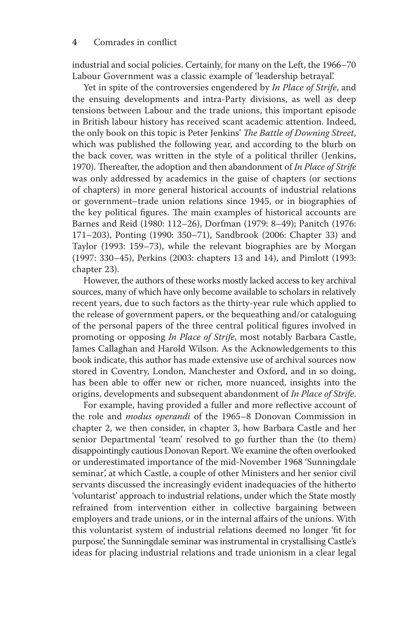industrial and social policies. Certainly, for many on the Left, the 1966–70 Labour Government was a classic example of 'leadership betrayal'.

 Yet in spite of the controversies engendered by *In Place of Strife* , and the ensuing developments and intra-Party divisions, as well as deep tensions between Labour and the trade unions, this important episode in British labour history has received scant academic attention. Indeed, the only book on this topic is Peter Jenkins' *The Battle of Downing Street*, which was published the following year, and according to the blurb on the back cover, was written in the style of a political thriller ( Jenkins, 1970). Thereafter, the adoption and then abandonment of *In Place of Strife* was only addressed by academics in the guise of chapters (or sections of chapters) in more general historical accounts of industrial relations or government–trade union relations since 1945, or in biographies of the key political figures. The main examples of historical accounts are Barnes and Reid (1980: 112–26), Dorfman (1979: 8–49); Panitch (1976: 171–203), Ponting (1990: 350–71), Sandbrook (2006: Chapter 33) and Taylor (1993: 159–73), while the relevant biographies are by Morgan (1997: 330–45), Perkins (2003: chapters 13 and 14), and Pimlott (1993: chapter 23).

 However, the authors of these works mostly lacked access to key archival sources, many of which have only become available to scholars in relatively recent years, due to such factors as the thirty-year rule which applied to the release of government papers, or the bequeathing and/or cataloguing of the personal papers of the three central political figures involved in promoting or opposing *In Place of Strife*, most notably Barbara Castle, James Callaghan and Harold Wilson. As the Acknowledgements to this book indicate, this author has made extensive use of archival sources now stored in Coventry, London, Manchester and Oxford, and in so doing, has been able to offer new or richer, more nuanced, insights into the origins, developments and subsequent abandonment of *In Place of Strife* .

For example, having provided a fuller and more reflective account of the role and *modus operandi* of the 1965–8 Donovan Commission in chapter 2, we then consider, in chapter 3, how Barbara Castle and her senior Departmental 'team' resolved to go further than the (to them) disappointingly cautious Donovan Report. We examine the often overlooked or underestimated importance of the mid-November 1968 'Sunningdale seminar', at which Castle, a couple of other Ministers and her senior civil servants discussed the increasingly evident inadequacies of the hitherto 'voluntarist' approach to industrial relations, under which the State mostly refrained from intervention either in collective bargaining between employers and trade unions, or in the internal affairs of the unions. With this voluntarist system of industrial relations deemed no longer 'fit for purpose', the Sunningdale seminar was instrumental in crystallising Castle's ideas for placing industrial relations and trade unionism in a clear legal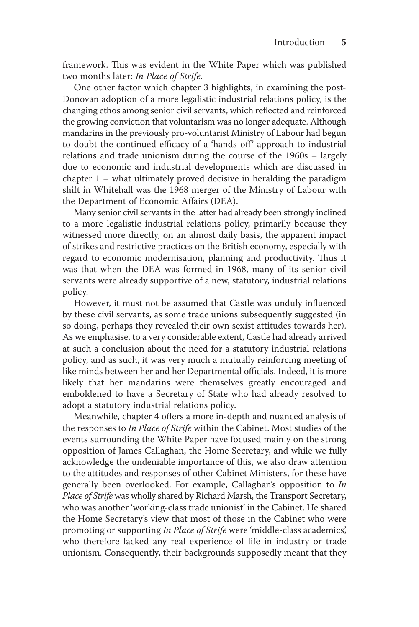framework. This was evident in the White Paper which was published two months later: *In Place of Strife* .

 One other factor which chapter 3 highlights, in examining the post-Donovan adoption of a more legalistic industrial relations policy, is the changing ethos among senior civil servants, which reflected and reinforced the growing conviction that voluntarism was no longer adequate. Although mandarins in the previously pro-voluntarist Ministry of Labour had begun to doubt the continued efficacy of a 'hands-off' approach to industrial relations and trade unionism during the course of the 1960s – largely due to economic and industrial developments which are discussed in chapter 1 – what ultimately proved decisive in heralding the paradigm shift in Whitehall was the 1968 merger of the Ministry of Labour with the Department of Economic Affairs (DEA).

 Many senior civil servants in the latter had already been strongly inclined to a more legalistic industrial relations policy, primarily because they witnessed more directly, on an almost daily basis, the apparent impact of strikes and restrictive practices on the British economy, especially with regard to economic modernisation, planning and productivity. Thus it was that when the DEA was formed in 1968, many of its senior civil servants were already supportive of a new, statutory, industrial relations policy.

However, it must not be assumed that Castle was unduly influenced by these civil servants, as some trade unions subsequently suggested (in so doing, perhaps they revealed their own sexist attitudes towards her). As we emphasise, to a very considerable extent, Castle had already arrived at such a conclusion about the need for a statutory industrial relations policy, and as such, it was very much a mutually reinforcing meeting of like minds between her and her Departmental officials. Indeed, it is more likely that her mandarins were themselves greatly encouraged and emboldened to have a Secretary of State who had already resolved to adopt a statutory industrial relations policy.

Meanwhile, chapter 4 offers a more in-depth and nuanced analysis of the responses to *In Place of Strife* within the Cabinet. Most studies of the events surrounding the White Paper have focused mainly on the strong opposition of James Callaghan, the Home Secretary, and while we fully acknowledge the undeniable importance of this, we also draw attention to the attitudes and responses of other Cabinet Ministers, for these have generally been overlooked. For example, Callaghan's opposition to *In Place of Strife* was wholly shared by Richard Marsh, the Transport Secretary, who was another 'working-class trade unionist' in the Cabinet. He shared the Home Secretary's view that most of those in the Cabinet who were promoting or supporting *In Place of Strife* were 'middle-class academics', who therefore lacked any real experience of life in industry or trade unionism. Consequently, their backgrounds supposedly meant that they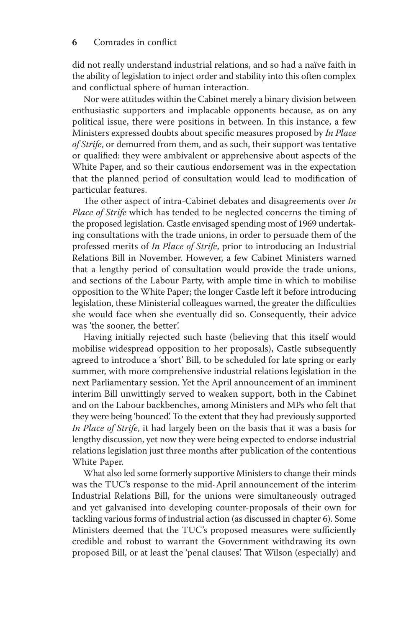did not really understand industrial relations, and so had a naïve faith in the ability of legislation to inject order and stability into this often complex and conflictual sphere of human interaction.

 Nor were attitudes within the Cabinet merely a binary division between enthusiastic supporters and implacable opponents because, as on any political issue, there were positions in between. In this instance, a few Ministers expressed doubts about specific measures proposed by *In Place of Strife* , or demurred from them, and as such, their support was tentative or qualified: they were ambivalent or apprehensive about aspects of the White Paper, and so their cautious endorsement was in the expectation that the planned period of consultation would lead to modification of particular features.

The other aspect of intra-Cabinet debates and disagreements over *In Place of Strife* which has tended to be neglected concerns the timing of the proposed legislation. Castle envisaged spending most of 1969 undertaking consultations with the trade unions, in order to persuade them of the professed merits of *In Place of Strife* , prior to introducing an Industrial Relations Bill in November. However, a few Cabinet Ministers warned that a lengthy period of consultation would provide the trade unions, and sections of the Labour Party, with ample time in which to mobilise opposition to the White Paper; the longer Castle left it before introducing legislation, these Ministerial colleagues warned, the greater the difficulties she would face when she eventually did so. Consequently, their advice was 'the sooner, the better'.

 Having initially rejected such haste (believing that this itself would mobilise widespread opposition to her proposals), Castle subsequently agreed to introduce a 'short' Bill, to be scheduled for late spring or early summer, with more comprehensive industrial relations legislation in the next Parliamentary session. Yet the April announcement of an imminent interim Bill unwittingly served to weaken support, both in the Cabinet and on the Labour backbenches, among Ministers and MPs who felt that they were being 'bounced'. To the extent that they had previously supported *In Place of Strife* , it had largely been on the basis that it was a basis for lengthy discussion, yet now they were being expected to endorse industrial relations legislation just three months after publication of the contentious White Paper.

 What also led some formerly supportive Ministers to change their minds was the TUC's response to the mid-April announcement of the interim Industrial Relations Bill, for the unions were simultaneously outraged and yet galvanised into developing counter-proposals of their own for tackling various forms of industrial action (as discussed in chapter 6). Some Ministers deemed that the TUC's proposed measures were sufficiently credible and robust to warrant the Government withdrawing its own proposed Bill, or at least the 'penal clauses'. That Wilson (especially) and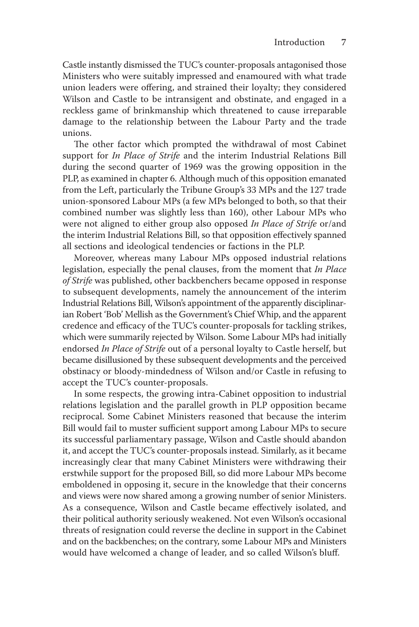Castle instantly dismissed the TUC's counter-proposals antagonised those Ministers who were suitably impressed and enamoured with what trade union leaders were offering, and strained their loyalty; they considered Wilson and Castle to be intransigent and obstinate, and engaged in a reckless game of brinkmanship which threatened to cause irreparable damage to the relationship between the Labour Party and the trade unions.

The other factor which prompted the withdrawal of most Cabinet support for *In Place of Strife* and the interim Industrial Relations Bill during the second quarter of 1969 was the growing opposition in the PLP, as examined in chapter 6. Although much of this opposition emanated from the Left, particularly the Tribune Group's 33 MPs and the 127 trade union-sponsored Labour MPs (a few MPs belonged to both, so that their combined number was slightly less than 160), other Labour MPs who were not aligned to either group also opposed *In Place of Strife* or/and the interim Industrial Relations Bill, so that opposition effectively spanned all sections and ideological tendencies or factions in the PLP.

 Moreover, whereas many Labour MPs opposed industrial relations legislation, especially the penal clauses, from the moment that *In Place of Strife* was published, other backbenchers became opposed in response to subsequent developments, namely the announcement of the interim Industrial Relations Bill, Wilson's appointment of the apparently disciplinarian Robert 'Bob' Mellish as the Government's Chief Whip, and the apparent credence and efficacy of the TUC's counter-proposals for tackling strikes, which were summarily rejected by Wilson. Some Labour MPs had initially endorsed *In Place of Strife* out of a personal loyalty to Castle herself, but became disillusioned by these subsequent developments and the perceived obstinacy or bloody-mindedness of Wilson and/or Castle in refusing to accept the TUC's counter-proposals.

 In some respects, the growing intra-Cabinet opposition to industrial relations legislation and the parallel growth in PLP opposition became reciprocal. Some Cabinet Ministers reasoned that because the interim Bill would fail to muster sufficient support among Labour MPs to secure its successful parliamentary passage, Wilson and Castle should abandon it, and accept the TUC's counter-proposals instead. Similarly, as it became increasingly clear that many Cabinet Ministers were withdrawing their erstwhile support for the proposed Bill, so did more Labour MPs become emboldened in opposing it, secure in the knowledge that their concerns and views were now shared among a growing number of senior Ministers. As a consequence, Wilson and Castle became effectively isolated, and their political authority seriously weakened. Not even Wilson's occasional threats of resignation could reverse the decline in support in the Cabinet and on the backbenches; on the contrary, some Labour MPs and Ministers would have welcomed a change of leader, and so called Wilson's bluff.